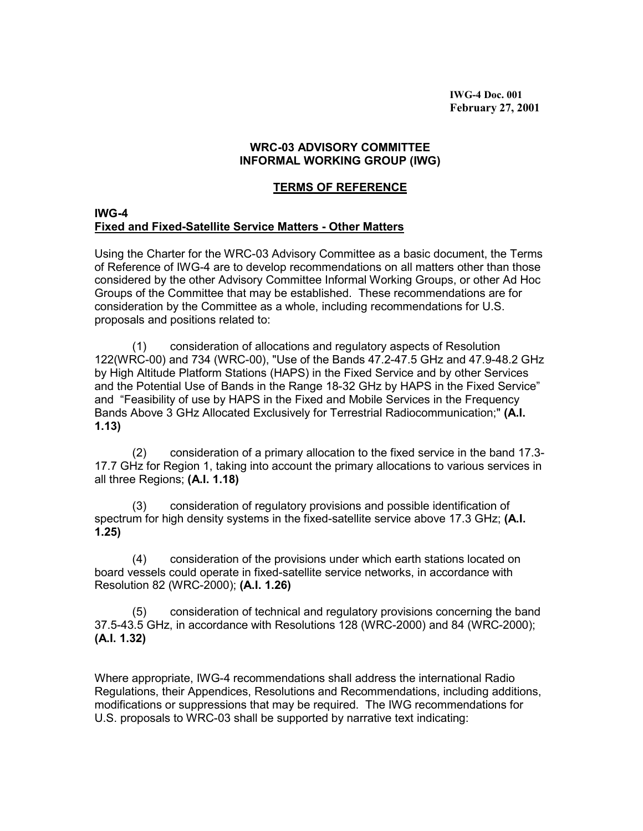**IWG-4 Doc. 001 February 27, 2001**

## **WRC-03 ADVISORY COMMITTEE INFORMAL WORKING GROUP (IWG)**

## **TERMS OF REFERENCE**

## **IWG-4 Fixed and Fixed-Satellite Service Matters - Other Matters**

Using the Charter for the WRC-03 Advisory Committee as a basic document, the Terms of Reference of IWG-4 are to develop recommendations on all matters other than those considered by the other Advisory Committee Informal Working Groups, or other Ad Hoc Groups of the Committee that may be established. These recommendations are for consideration by the Committee as a whole, including recommendations for U.S. proposals and positions related to:

(1) consideration of allocations and regulatory aspects of Resolution 122(WRC-00) and 734 (WRC-00), "Use of the Bands 47.2-47.5 GHz and 47.9-48.2 GHz by High Altitude Platform Stations (HAPS) in the Fixed Service and by other Services and the Potential Use of Bands in the Range 18-32 GHz by HAPS in the Fixed Service" and "Feasibility of use by HAPS in the Fixed and Mobile Services in the Frequency Bands Above 3 GHz Allocated Exclusively for Terrestrial Radiocommunication;" **(A.I. 1.13)**

(2) consideration of a primary allocation to the fixed service in the band 17.3- 17.7 GHz for Region 1, taking into account the primary allocations to various services in all three Regions; **(A.I. 1.18)**

(3) consideration of regulatory provisions and possible identification of spectrum for high density systems in the fixed-satellite service above 17.3 GHz; **(A.I. 1.25)**

(4) consideration of the provisions under which earth stations located on board vessels could operate in fixed-satellite service networks, in accordance with Resolution 82 (WRC-2000); **(A.I. 1.26)**

(5) consideration of technical and regulatory provisions concerning the band 37.5-43.5 GHz, in accordance with Resolutions 128 (WRC-2000) and 84 (WRC-2000); **(A.I. 1.32)**

Where appropriate, IWG-4 recommendations shall address the international Radio Regulations, their Appendices, Resolutions and Recommendations, including additions, modifications or suppressions that may be required. The IWG recommendations for U.S. proposals to WRC-03 shall be supported by narrative text indicating: